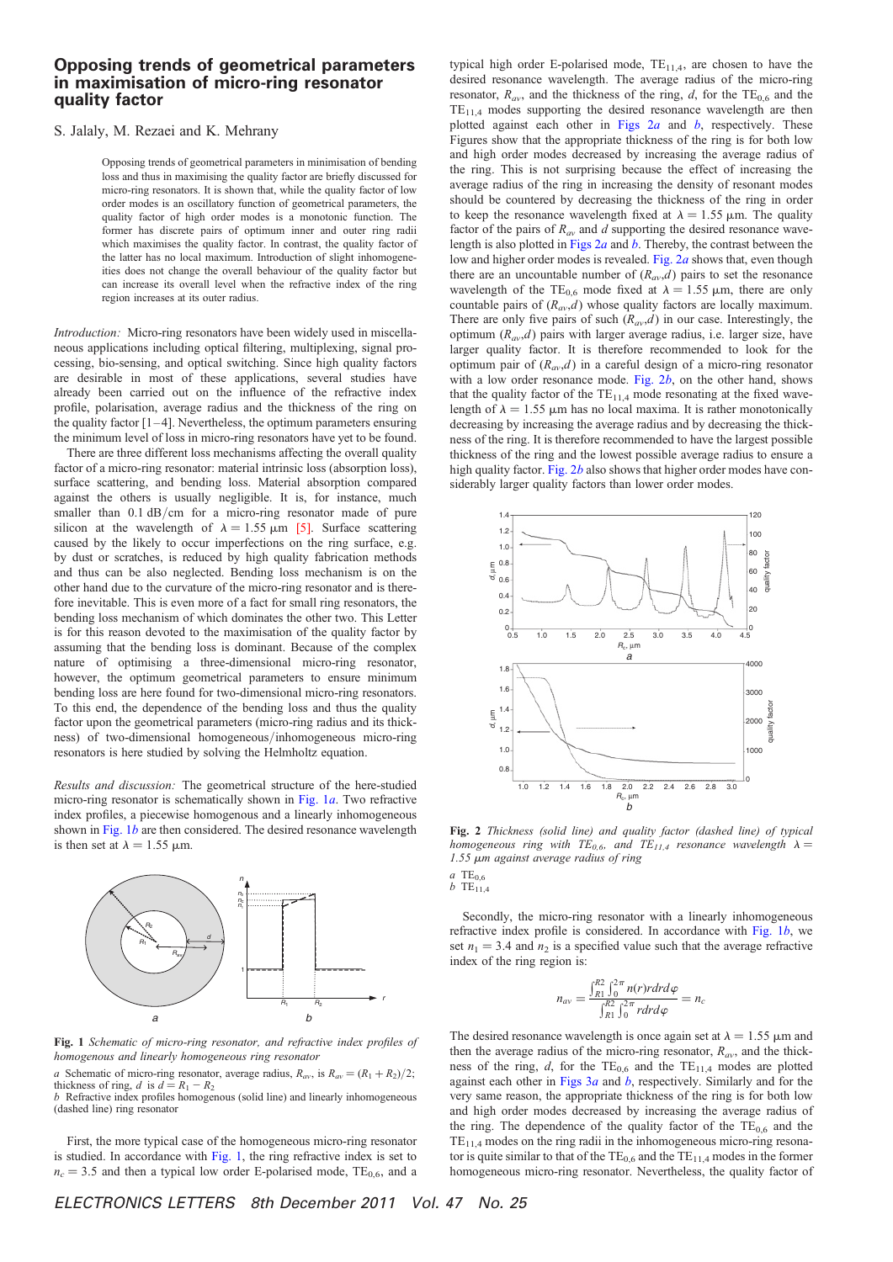## Opposing trends of geometrical parameters in maximisation of micro-ring resonator quality factor

## S. Jalaly, M. Rezaei and K. Mehrany

Opposing trends of geometrical parameters in minimisation of bending loss and thus in maximising the quality factor are briefly discussed for micro-ring resonators. It is shown that, while the quality factor of low order modes is an oscillatory function of geometrical parameters, the quality factor of high order modes is a monotonic function. The former has discrete pairs of optimum inner and outer ring radii which maximises the quality factor. In contrast, the quality factor of the latter has no local maximum. Introduction of slight inhomogeneities does not change the overall behaviour of the quality factor but can increase its overall level when the refractive index of the ring region increases at its outer radius.

Introduction: Micro-ring resonators have been widely used in miscellaneous applications including optical filtering, multiplexing, signal processing, bio-sensing, and optical switching. Since high quality factors are desirable in most of these applications, several studies have already been carried out on the influence of the refractive index profile, polarisation, average radius and the thickness of the ring on the quality factor  $[1-4]$ . Nevertheless, the optimum parameters ensuring the minimum level of loss in micro-ring resonators have yet to be found.

There are three different loss mechanisms affecting the overall quality factor of a micro-ring resonator: material intrinsic loss (absorption loss), surface scattering, and bending loss. Material absorption compared against the others is usually negligible. It is, for instance, much smaller than 0.1 dB/cm for a micro-ring resonator made of pure silicon at the wavelength of  $\lambda = 1.55 \mu m$  [5]. Surface scattering caused by the likely to occur imperfections on the ring surface, e.g. by dust or scratches, is reduced by high quality fabrication methods and thus can be also neglected. Bending loss mechanism is on the other hand due to the curvature of the micro-ring resonator and is therefore inevitable. This is even more of a fact for small ring resonators, the bending loss mechanism of which dominates the other two. This Letter is for this reason devoted to the maximisation of the quality factor by assuming that the bending loss is dominant. Because of the complex nature of optimising a three-dimensional micro-ring resonator, however, the optimum geometrical parameters to ensure minimum bending loss are here found for two-dimensional micro-ring resonators. To this end, the dependence of the bending loss and thus the quality factor upon the geometrical parameters (micro-ring radius and its thickness) of two-dimensional homogeneous/inhomogeneous micro-ring resonators is here studied by solving the Helmholtz equation.

Results and discussion: The geometrical structure of the here-studied micro-ring resonator is schematically shown in Fig. 1a. Two refractive index profiles, a piecewise homogenous and a linearly inhomogeneous shown in Fig. 1b are then considered. The desired resonance wavelength is then set at  $\lambda = 1.55$  µm.



Fig. 1 Schematic of micro-ring resonator, and refractive index profiles of homogenous and linearly homogeneous ring resonator

a Schematic of micro-ring resonator, average radius,  $R_{av}$ , is  $R_{av} = (R_1 + R_2)/2$ ; thickness of ring, d is  $d = R_1 - R_2$ 

b Refractive index profiles homogenous (solid line) and linearly inhomogeneous (dashed line) ring resonator

First, the more typical case of the homogeneous micro-ring resonator is studied. In accordance with Fig. 1, the ring refractive index is set to  $n_c = 3.5$  and then a typical low order E-polarised mode, TE<sub>0,6</sub>, and a typical high order E-polarised mode,  $TE<sub>11,4</sub>$ , are chosen to have the desired resonance wavelength. The average radius of the micro-ring resonator,  $R_{av}$ , and the thickness of the ring, d, for the TE<sub>0,6</sub> and the  $TE_{11.4}$  modes supporting the desired resonance wavelength are then plotted against each other in Figs  $2a$  and  $b$ , respectively. These Figures show that the appropriate thickness of the ring is for both low and high order modes decreased by increasing the average radius of the ring. This is not surprising because the effect of increasing the average radius of the ring in increasing the density of resonant modes should be countered by decreasing the thickness of the ring in order to keep the resonance wavelength fixed at  $\lambda = 1.55$  µm. The quality factor of the pairs of  $R_{av}$  and d supporting the desired resonance wavelength is also plotted in Figs  $2a$  and  $b$ . Thereby, the contrast between the low and higher order modes is revealed. Fig. 2a shows that, even though there are an uncountable number of  $(R_{av}, d)$  pairs to set the resonance wavelength of the TE<sub>0.6</sub> mode fixed at  $\lambda = 1.55$  µm, there are only countable pairs of  $(R_{av}, d)$  whose quality factors are locally maximum. There are only five pairs of such  $(R_{av}, d)$  in our case. Interestingly, the optimum  $(R_{av}, d)$  pairs with larger average radius, i.e. larger size, have larger quality factor. It is therefore recommended to look for the optimum pair of  $(R_{av}, d)$  in a careful design of a micro-ring resonator with a low order resonance mode. Fig. 2b, on the other hand, shows that the quality factor of the  $TE_{11.4}$  mode resonating at the fixed wavelength of  $\lambda = 1.55 \mu m$  has no local maxima. It is rather monotonically decreasing by increasing the average radius and by decreasing the thickness of the ring. It is therefore recommended to have the largest possible thickness of the ring and the lowest possible average radius to ensure a high quality factor. Fig. 2b also shows that higher order modes have considerably larger quality factors than lower order modes.



Fig. 2 Thickness (solid line) and quality factor (dashed line) of typical homogeneous ring with  $TE_{0,6}$ , and  $TE_{11,4}$  resonance wavelength  $\lambda =$  $1.55$   $\mu$ m against average radius of ring

 $a$  TE<sub>0,6</sub>  $b$  TE<sub>11,4</sub>

Secondly, the micro-ring resonator with a linearly inhomogeneous refractive index profile is considered. In accordance with Fig. 1b, we set  $n_1 = 3.4$  and  $n_2$  is a specified value such that the average refractive index of the ring region is:

$$
n_{av} = \frac{\int_{R1}^{R2} \int_{0}^{2\pi} n(r) r dr d\varphi}{\int_{R1}^{R2} \int_{0}^{2\pi} r dr d\varphi} = n_c
$$

The desired resonance wavelength is once again set at  $\lambda = 1.55 \mu m$  and then the average radius of the micro-ring resonator,  $R_{av}$ , and the thickness of the ring, d, for the  $TE_{0.6}$  and the  $TE_{11.4}$  modes are plotted against each other in Figs  $3a$  and b, respectively. Similarly and for the very same reason, the appropriate thickness of the ring is for both low and high order modes decreased by increasing the average radius of the ring. The dependence of the quality factor of the  $TE_{0.6}$  and the  $TE<sub>11.4</sub>$  modes on the ring radii in the inhomogeneous micro-ring resonator is quite similar to that of the  $TE_{0,6}$  and the  $TE_{11,4}$  modes in the former homogeneous micro-ring resonator. Nevertheless, the quality factor of